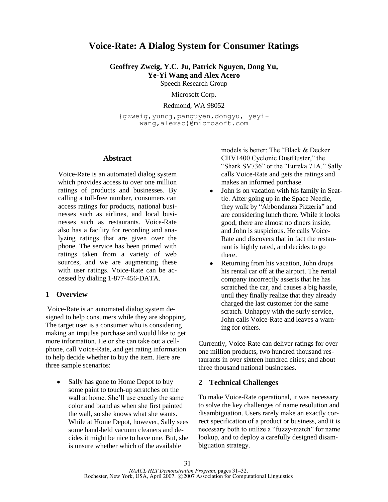# **Voice-Rate: A Dialog System for Consumer Ratings**

**Geoffrey Zweig, Y.C. Ju, Patrick Nguyen, Dong Yu, Ye-Yi Wang and Alex Acero**

Speech Research Group

Microsoft Corp.

Redmond, WA 98052

{gzweig,yuncj,panguyen,dongyu, yeyiwang,alexac}@microsoft.com

#### **Abstract**

Voice-Rate is an automated dialog system which provides access to over one million ratings of products and businesses. By calling a toll-free number, consumers can access ratings for products, national businesses such as airlines, and local businesses such as restaurants. Voice-Rate also has a facility for recording and analyzing ratings that are given over the phone. The service has been primed with ratings taken from a variety of web sources, and we are augmenting these with user ratings. Voice-Rate can be accessed by dialing 1-877-456-DATA.

## **1 Overview**

Voice-Rate is an automated dialog system designed to help consumers while they are shopping. The target user is a consumer who is considering making an impulse purchase and would like to get more information. He or she can take out a cellphone, call Voice-Rate, and get rating information to help decide whether to buy the item. Here are three sample scenarios:

 $\bullet$ Sally has gone to Home Depot to buy some paint to touch-up scratches on the wall at home. She'll use exactly the same color and brand as when she first painted the wall, so she knows what she wants. While at Home Depot, however, Sally sees some hand-held vacuum cleaners and decides it might be nice to have one. But, she is unsure whether which of the available

models is better: The "Black & Decker CHV1400 Cyclonic DustBuster," the "Shark SV736" or the "Eureka 71A." Sally calls Voice-Rate and gets the ratings and makes an informed purchase.

- John is on vacation with his family in Seattle. After going up in the Space Needle, they walk by "Abbondanza Pizzeria" and are considering lunch there. While it looks good, there are almost no diners inside, and John is suspicious. He calls Voice-Rate and discovers that in fact the restaurant is highly rated, and decides to go there.
- Returning from his vacation, John drops  $\bullet$ his rental car off at the airport. The rental company incorrectly asserts that he has scratched the car, and causes a big hassle, until they finally realize that they already charged the last customer for the same scratch. Unhappy with the surly service, John calls Voice-Rate and leaves a warning for others.

Currently, Voice-Rate can deliver ratings for over one million products, two hundred thousand restaurants in over sixteen hundred cities; and about three thousand national businesses.

## **2 Technical Challenges**

To make Voice-Rate operational, it was necessary to solve the key challenges of name resolution and disambiguation. Users rarely make an exactly correct specification of a product or business, and it is necessary both to utilize a "fuzzy-match" for name lookup, and to deploy a carefully designed disambiguation strategy.